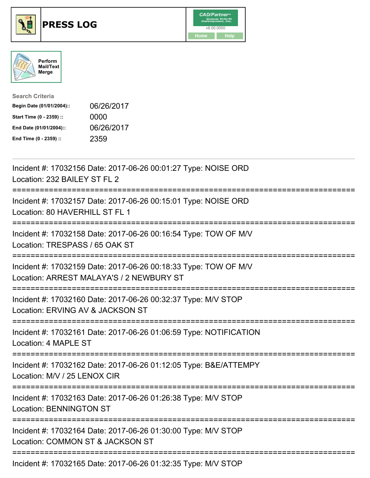

## **PRESS LOG** v8.00.0050





| <b>Search Criteria</b>    |            |
|---------------------------|------------|
| Begin Date (01/01/2004):: | 06/26/2017 |
| Start Time (0 - 2359) ::  | 0000       |
| End Date (01/01/2004)::   | 06/26/2017 |
| End Time (0 - 2359) ::    | 2359       |

Incident #: 17032156 Date: 2017-06-26 00:01:27 Type: NOISE ORD Location: 232 BAILEY ST FL 2 =========================================================================== Incident #: 17032157 Date: 2017-06-26 00:15:01 Type: NOISE ORD Location: 80 HAVERHILL ST FL 1 =========================================================================== Incident #: 17032158 Date: 2017-06-26 00:16:54 Type: TOW OF M/V Location: TRESPASS / 65 OAK ST =========================================================================== Incident #: 17032159 Date: 2017-06-26 00:18:33 Type: TOW OF M/V Location: ARREST MALAYA'S / 2 NEWBURY ST =========================================================================== Incident #: 17032160 Date: 2017-06-26 00:32:37 Type: M/V STOP Location: ERVING AV & JACKSON ST =========================================================================== Incident #: 17032161 Date: 2017-06-26 01:06:59 Type: NOTIFICATION Location: 4 MAPLE ST =========================================================================== Incident #: 17032162 Date: 2017-06-26 01:12:05 Type: B&E/ATTEMPY Location: M/V / 25 LENOX CIR =========================================================================== Incident #: 17032163 Date: 2017-06-26 01:26:38 Type: M/V STOP Location: BENNINGTON ST =========================================================================== Incident #: 17032164 Date: 2017-06-26 01:30:00 Type: M/V STOP Location: COMMON ST & JACKSON ST =========================================================================== Incident #: 17032165 Date: 2017-06-26 01:32:35 Type: M/V STOP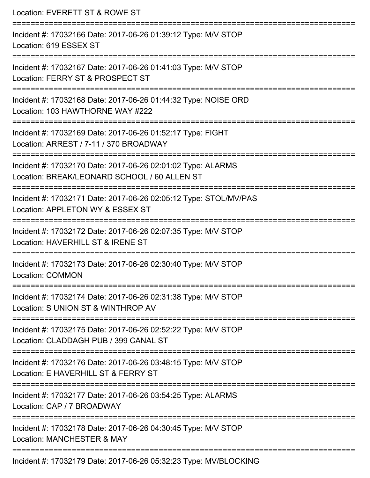| Location: EVERETT ST & ROWE ST                                                                                            |
|---------------------------------------------------------------------------------------------------------------------------|
| Incident #: 17032166 Date: 2017-06-26 01:39:12 Type: M/V STOP<br>Location: 619 ESSEX ST                                   |
| Incident #: 17032167 Date: 2017-06-26 01:41:03 Type: M/V STOP<br>Location: FERRY ST & PROSPECT ST                         |
| Incident #: 17032168 Date: 2017-06-26 01:44:32 Type: NOISE ORD<br>Location: 103 HAWTHORNE WAY #222                        |
| Incident #: 17032169 Date: 2017-06-26 01:52:17 Type: FIGHT<br>Location: ARREST / 7-11 / 370 BROADWAY                      |
| Incident #: 17032170 Date: 2017-06-26 02:01:02 Type: ALARMS<br>Location: BREAK/LEONARD SCHOOL / 60 ALLEN ST               |
| =================<br>Incident #: 17032171 Date: 2017-06-26 02:05:12 Type: STOL/MV/PAS<br>Location: APPLETON WY & ESSEX ST |
| Incident #: 17032172 Date: 2017-06-26 02:07:35 Type: M/V STOP<br>Location: HAVERHILL ST & IRENE ST                        |
| Incident #: 17032173 Date: 2017-06-26 02:30:40 Type: M/V STOP<br>Location: COMMON                                         |
| Incident #: 17032174 Date: 2017-06-26 02:31:38 Type: M/V STOP<br>Location: S UNION ST & WINTHROP AV                       |
| Incident #: 17032175 Date: 2017-06-26 02:52:22 Type: M/V STOP<br>Location: CLADDAGH PUB / 399 CANAL ST                    |
| Incident #: 17032176 Date: 2017-06-26 03:48:15 Type: M/V STOP<br>Location: E HAVERHILL ST & FERRY ST                      |
| Incident #: 17032177 Date: 2017-06-26 03:54:25 Type: ALARMS<br>Location: CAP / 7 BROADWAY                                 |
| Incident #: 17032178 Date: 2017-06-26 04:30:45 Type: M/V STOP<br>Location: MANCHESTER & MAY                               |
| Incident #: 17032179 Date: 2017-06-26 05:32:23 Type: MV/BLOCKING                                                          |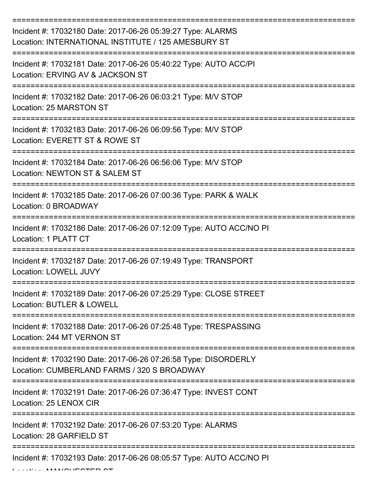| Incident #: 17032180 Date: 2017-06-26 05:39:27 Type: ALARMS<br>Location: INTERNATIONAL INSTITUTE / 125 AMESBURY ST |
|--------------------------------------------------------------------------------------------------------------------|
| Incident #: 17032181 Date: 2017-06-26 05:40:22 Type: AUTO ACC/PI<br>Location: ERVING AV & JACKSON ST               |
| Incident #: 17032182 Date: 2017-06-26 06:03:21 Type: M/V STOP<br>Location: 25 MARSTON ST                           |
| Incident #: 17032183 Date: 2017-06-26 06:09:56 Type: M/V STOP<br>Location: EVERETT ST & ROWE ST                    |
| Incident #: 17032184 Date: 2017-06-26 06:56:06 Type: M/V STOP<br>Location: NEWTON ST & SALEM ST                    |
| Incident #: 17032185 Date: 2017-06-26 07:00:36 Type: PARK & WALK<br>Location: 0 BROADWAY                           |
| Incident #: 17032186 Date: 2017-06-26 07:12:09 Type: AUTO ACC/NO PI<br>Location: 1 PLATT CT                        |
| Incident #: 17032187 Date: 2017-06-26 07:19:49 Type: TRANSPORT<br>Location: LOWELL JUVY                            |
| Incident #: 17032189 Date: 2017-06-26 07:25:29 Type: CLOSE STREET<br>Location: BUTLER & LOWELL                     |
| Incident #: 17032188 Date: 2017-06-26 07:25:48 Type: TRESPASSING<br>Location: 244 MT VERNON ST                     |
| Incident #: 17032190 Date: 2017-06-26 07:26:58 Type: DISORDERLY<br>Location: CUMBERLAND FARMS / 320 S BROADWAY     |
| Incident #: 17032191 Date: 2017-06-26 07:36:47 Type: INVEST CONT<br>Location: 25 LENOX CIR                         |
| Incident #: 17032192 Date: 2017-06-26 07:53:20 Type: ALARMS<br>Location: 28 GARFIELD ST                            |
| Incident #: 17032193 Date: 2017-06-26 08:05:57 Type: AUTO ACC/NO PI                                                |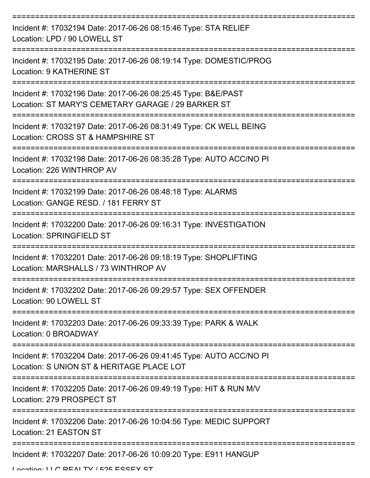| Incident #: 17032194 Date: 2017-06-26 08:15:46 Type: STA RELIEF<br>Location: LPD / 90 LOWELL ST                     |
|---------------------------------------------------------------------------------------------------------------------|
| Incident #: 17032195 Date: 2017-06-26 08:19:14 Type: DOMESTIC/PROG<br>Location: 9 KATHERINE ST                      |
| Incident #: 17032196 Date: 2017-06-26 08:25:45 Type: B&E/PAST<br>Location: ST MARY'S CEMETARY GARAGE / 29 BARKER ST |
| Incident #: 17032197 Date: 2017-06-26 08:31:49 Type: CK WELL BEING<br>Location: CROSS ST & HAMPSHIRE ST             |
| Incident #: 17032198 Date: 2017-06-26 08:35:28 Type: AUTO ACC/NO PI<br>Location: 226 WINTHROP AV                    |
| Incident #: 17032199 Date: 2017-06-26 08:48:18 Type: ALARMS<br>Location: GANGE RESD. / 181 FERRY ST                 |
| Incident #: 17032200 Date: 2017-06-26 09:16:31 Type: INVESTIGATION<br><b>Location: SPRINGFIELD ST</b>               |
| Incident #: 17032201 Date: 2017-06-26 09:18:19 Type: SHOPLIFTING<br>Location: MARSHALLS / 73 WINTHROP AV            |
| Incident #: 17032202 Date: 2017-06-26 09:29:57 Type: SEX OFFENDER<br>Location: 90 LOWELL ST                         |
| Incident #: 17032203 Date: 2017-06-26 09:33:39 Type: PARK & WALK<br>Location: 0 BROADWAY                            |
| Incident #: 17032204 Date: 2017-06-26 09:41:45 Type: AUTO ACC/NO PI<br>Location: S UNION ST & HERITAGE PLACE LOT    |
| Incident #: 17032205 Date: 2017-06-26 09:49:19 Type: HIT & RUN M/V<br>Location: 279 PROSPECT ST                     |
| Incident #: 17032206 Date: 2017-06-26 10:04:56 Type: MEDIC SUPPORT<br>Location: 21 EASTON ST                        |
| Incident #: 17032207 Date: 2017-06-26 10:09:20 Type: E911 HANGUP                                                    |

Location: LLC DEALTY / 525 ESSEY ST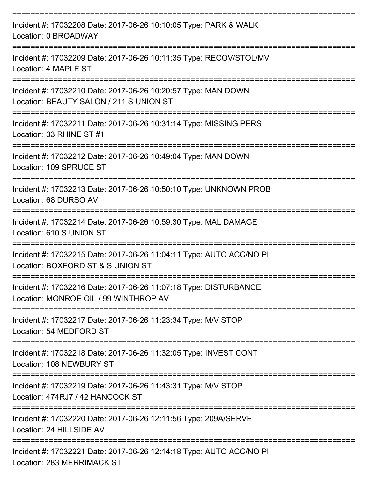| Incident #: 17032208 Date: 2017-06-26 10:10:05 Type: PARK & WALK<br>Location: 0 BROADWAY                  |
|-----------------------------------------------------------------------------------------------------------|
| Incident #: 17032209 Date: 2017-06-26 10:11:35 Type: RECOV/STOL/MV<br>Location: 4 MAPLE ST                |
| Incident #: 17032210 Date: 2017-06-26 10:20:57 Type: MAN DOWN<br>Location: BEAUTY SALON / 211 S UNION ST  |
| Incident #: 17032211 Date: 2017-06-26 10:31:14 Type: MISSING PERS<br>Location: 33 RHINE ST #1             |
| Incident #: 17032212 Date: 2017-06-26 10:49:04 Type: MAN DOWN<br>Location: 109 SPRUCE ST                  |
| Incident #: 17032213 Date: 2017-06-26 10:50:10 Type: UNKNOWN PROB<br>Location: 68 DURSO AV                |
| Incident #: 17032214 Date: 2017-06-26 10:59:30 Type: MAL DAMAGE<br>Location: 610 S UNION ST               |
| Incident #: 17032215 Date: 2017-06-26 11:04:11 Type: AUTO ACC/NO PI<br>Location: BOXFORD ST & S UNION ST  |
| Incident #: 17032216 Date: 2017-06-26 11:07:18 Type: DISTURBANCE<br>Location: MONROE OIL / 99 WINTHROP AV |
| Incident #: 17032217 Date: 2017-06-26 11:23:34 Type: M/V STOP<br>Location: 54 MEDFORD ST                  |
| Incident #: 17032218 Date: 2017-06-26 11:32:05 Type: INVEST CONT<br>Location: 108 NEWBURY ST              |
| Incident #: 17032219 Date: 2017-06-26 11:43:31 Type: M/V STOP<br>Location: 474RJ7 / 42 HANCOCK ST         |
| Incident #: 17032220 Date: 2017-06-26 12:11:56 Type: 209A/SERVE<br>Location: 24 HILLSIDE AV               |
| Incident #: 17032221 Date: 2017-06-26 12:14:18 Type: AUTO ACC/NO PI<br><b>Location: 283 MERRIMACK ST</b>  |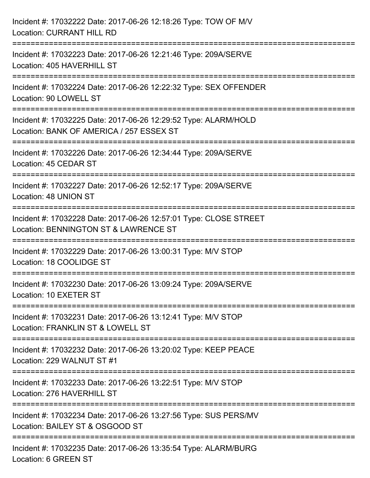| Incident #: 17032222 Date: 2017-06-26 12:18:26 Type: TOW OF M/V<br><b>Location: CURRANT HILL RD</b>                                                                     |
|-------------------------------------------------------------------------------------------------------------------------------------------------------------------------|
| =============================<br>Incident #: 17032223 Date: 2017-06-26 12:21:46 Type: 209A/SERVE<br>Location: 405 HAVERHILL ST                                          |
| Incident #: 17032224 Date: 2017-06-26 12:22:32 Type: SEX OFFENDER<br>Location: 90 LOWELL ST<br>===================                                                      |
| ================================<br>Incident #: 17032225 Date: 2017-06-26 12:29:52 Type: ALARM/HOLD<br>Location: BANK OF AMERICA / 257 ESSEX ST<br>==================== |
| Incident #: 17032226 Date: 2017-06-26 12:34:44 Type: 209A/SERVE<br>Location: 45 CEDAR ST                                                                                |
| Incident #: 17032227 Date: 2017-06-26 12:52:17 Type: 209A/SERVE<br>Location: 48 UNION ST                                                                                |
| Incident #: 17032228 Date: 2017-06-26 12:57:01 Type: CLOSE STREET<br>Location: BENNINGTON ST & LAWRENCE ST                                                              |
| Incident #: 17032229 Date: 2017-06-26 13:00:31 Type: M/V STOP<br>Location: 18 COOLIDGE ST                                                                               |
| Incident #: 17032230 Date: 2017-06-26 13:09:24 Type: 209A/SERVE<br>Location: 10 EXETER ST                                                                               |
| Incident #: 17032231 Date: 2017-06-26 13:12:41 Type: M/V STOP<br>Location: FRANKLIN ST & LOWELL ST                                                                      |
| Incident #: 17032232 Date: 2017-06-26 13:20:02 Type: KEEP PEACE<br>Location: 229 WALNUT ST #1                                                                           |
| Incident #: 17032233 Date: 2017-06-26 13:22:51 Type: M/V STOP<br>Location: 276 HAVERHILL ST                                                                             |
| Incident #: 17032234 Date: 2017-06-26 13:27:56 Type: SUS PERS/MV<br>Location: BAILEY ST & OSGOOD ST                                                                     |
| Incident #: 17032235 Date: 2017-06-26 13:35:54 Type: ALARM/BURG<br>Location: 6 GREEN ST                                                                                 |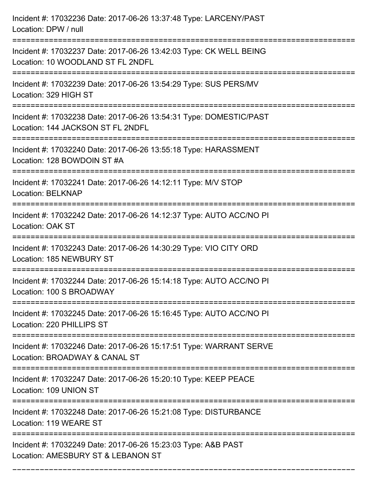| Incident #: 17032236 Date: 2017-06-26 13:37:48 Type: LARCENY/PAST<br>Location: DPW / null               |
|---------------------------------------------------------------------------------------------------------|
| Incident #: 17032237 Date: 2017-06-26 13:42:03 Type: CK WELL BEING<br>Location: 10 WOODLAND ST FL 2NDFL |
| Incident #: 17032239 Date: 2017-06-26 13:54:29 Type: SUS PERS/MV<br>Location: 329 HIGH ST               |
| Incident #: 17032238 Date: 2017-06-26 13:54:31 Type: DOMESTIC/PAST<br>Location: 144 JACKSON ST FL 2NDFL |
| Incident #: 17032240 Date: 2017-06-26 13:55:18 Type: HARASSMENT<br>Location: 128 BOWDOIN ST #A          |
| Incident #: 17032241 Date: 2017-06-26 14:12:11 Type: M/V STOP<br><b>Location: BELKNAP</b>               |
| Incident #: 17032242 Date: 2017-06-26 14:12:37 Type: AUTO ACC/NO PI<br>Location: OAK ST                 |
| Incident #: 17032243 Date: 2017-06-26 14:30:29 Type: VIO CITY ORD<br>Location: 185 NEWBURY ST           |
| Incident #: 17032244 Date: 2017-06-26 15:14:18 Type: AUTO ACC/NO PI<br>Location: 100 S BROADWAY         |
| Incident #: 17032245 Date: 2017-06-26 15:16:45 Type: AUTO ACC/NO PI<br>Location: 220 PHILLIPS ST        |
| Incident #: 17032246 Date: 2017-06-26 15:17:51 Type: WARRANT SERVE<br>Location: BROADWAY & CANAL ST     |
| Incident #: 17032247 Date: 2017-06-26 15:20:10 Type: KEEP PEACE<br>Location: 109 UNION ST               |
| Incident #: 17032248 Date: 2017-06-26 15:21:08 Type: DISTURBANCE<br>Location: 119 WEARE ST              |
| Incident #: 17032249 Date: 2017-06-26 15:23:03 Type: A&B PAST<br>Location: AMESBURY ST & LEBANON ST     |

===========================================================================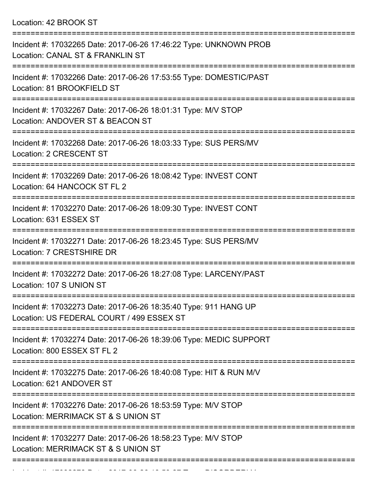Location: 42 BROOK ST

| Incident #: 17032265 Date: 2017-06-26 17:46:22 Type: UNKNOWN PROB<br>Location: CANAL ST & FRANKLIN ST                  |
|------------------------------------------------------------------------------------------------------------------------|
| Incident #: 17032266 Date: 2017-06-26 17:53:55 Type: DOMESTIC/PAST<br>Location: 81 BROOKFIELD ST                       |
| Incident #: 17032267 Date: 2017-06-26 18:01:31 Type: M/V STOP<br>Location: ANDOVER ST & BEACON ST                      |
| Incident #: 17032268 Date: 2017-06-26 18:03:33 Type: SUS PERS/MV<br>Location: 2 CRESCENT ST                            |
| ==================<br>Incident #: 17032269 Date: 2017-06-26 18:08:42 Type: INVEST CONT<br>Location: 64 HANCOCK ST FL 2 |
| Incident #: 17032270 Date: 2017-06-26 18:09:30 Type: INVEST CONT<br>Location: 631 ESSEX ST                             |
| Incident #: 17032271 Date: 2017-06-26 18:23:45 Type: SUS PERS/MV<br>Location: 7 CRESTSHIRE DR                          |
| Incident #: 17032272 Date: 2017-06-26 18:27:08 Type: LARCENY/PAST<br>Location: 107 S UNION ST                          |
| Incident #: 17032273 Date: 2017-06-26 18:35:40 Type: 911 HANG UP<br>Location: US FEDERAL COURT / 499 ESSEX ST          |
| Incident #: 17032274 Date: 2017-06-26 18:39:06 Type: MEDIC SUPPORT<br>Location: 800 ESSEX ST FL 2                      |
| Incident #: 17032275 Date: 2017-06-26 18:40:08 Type: HIT & RUN M/V<br>Location: 621 ANDOVER ST                         |
| Incident #: 17032276 Date: 2017-06-26 18:53:59 Type: M/V STOP<br>Location: MERRIMACK ST & S UNION ST                   |
| Incident #: 17032277 Date: 2017-06-26 18:58:23 Type: M/V STOP<br>Location: MERRIMACK ST & S UNION ST                   |
|                                                                                                                        |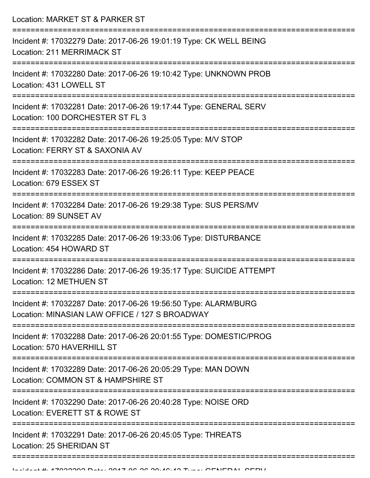Location: MARKET ST & PARKER ST =========================================================================== Incident #: 17032279 Date: 2017-06-26 19:01:19 Type: CK WELL BEING Location: 211 MERRIMACK ST =========================================================================== Incident #: 17032280 Date: 2017-06-26 19:10:42 Type: UNKNOWN PROB Location: 431 LOWELL ST =========================================================================== Incident #: 17032281 Date: 2017-06-26 19:17:44 Type: GENERAL SERV Location: 100 DORCHESTER ST FL 3 =========================================================================== Incident #: 17032282 Date: 2017-06-26 19:25:05 Type: M/V STOP Location: FERRY ST & SAXONIA AV =========================================================================== Incident #: 17032283 Date: 2017-06-26 19:26:11 Type: KEEP PEACE Location: 679 ESSEX ST =========================================================================== Incident #: 17032284 Date: 2017-06-26 19:29:38 Type: SUS PERS/MV Location: 89 SUNSET AV =========================================================================== Incident #: 17032285 Date: 2017-06-26 19:33:06 Type: DISTURBANCE Location: 454 HOWARD ST =========================================================================== Incident #: 17032286 Date: 2017-06-26 19:35:17 Type: SUICIDE ATTEMPT Location: 12 METHUEN ST =========================================================================== Incident #: 17032287 Date: 2017-06-26 19:56:50 Type: ALARM/BURG Location: MINASIAN LAW OFFICE / 127 S BROADWAY =========================================================================== Incident #: 17032288 Date: 2017-06-26 20:01:55 Type: DOMESTIC/PROG Location: 570 HAVERHILL ST =========================================================================== Incident #: 17032289 Date: 2017-06-26 20:05:29 Type: MAN DOWN Location: COMMON ST & HAMPSHIRE ST =========================================================================== Incident #: 17032290 Date: 2017-06-26 20:40:28 Type: NOISE ORD Location: EVERETT ST & ROWE ST =========================================================================== Incident #: 17032291 Date: 2017-06-26 20:45:05 Type: THREATS Location: 25 SHERIDAN ST

===========================================================================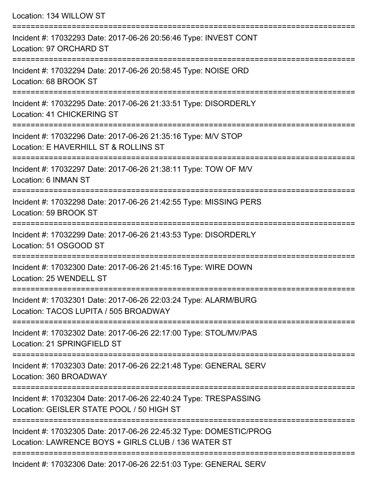| Location: 134 WILLOW ST                                                                                                   |
|---------------------------------------------------------------------------------------------------------------------------|
| Incident #: 17032293 Date: 2017-06-26 20:56:46 Type: INVEST CONT<br>Location: 97 ORCHARD ST                               |
| Incident #: 17032294 Date: 2017-06-26 20:58:45 Type: NOISE ORD<br>Location: 68 BROOK ST                                   |
| Incident #: 17032295 Date: 2017-06-26 21:33:51 Type: DISORDERLY<br>Location: 41 CHICKERING ST                             |
| Incident #: 17032296 Date: 2017-06-26 21:35:16 Type: M/V STOP<br>Location: E HAVERHILL ST & ROLLINS ST                    |
| Incident #: 17032297 Date: 2017-06-26 21:38:11 Type: TOW OF M/V<br>Location: 6 INMAN ST                                   |
| Incident #: 17032298 Date: 2017-06-26 21:42:55 Type: MISSING PERS<br>Location: 59 BROOK ST<br>===================         |
| Incident #: 17032299 Date: 2017-06-26 21:43:53 Type: DISORDERLY<br>Location: 51 OSGOOD ST                                 |
| Incident #: 17032300 Date: 2017-06-26 21:45:16 Type: WIRE DOWN<br>Location: 25 WENDELL ST                                 |
| Incident #: 17032301 Date: 2017-06-26 22:03:24 Type: ALARM/BURG<br>Location: TACOS LUPITA / 505 BROADWAY                  |
| Incident #: 17032302 Date: 2017-06-26 22:17:00 Type: STOL/MV/PAS<br>Location: 21 SPRINGFIELD ST                           |
| Incident #: 17032303 Date: 2017-06-26 22:21:48 Type: GENERAL SERV<br>Location: 360 BROADWAY                               |
| Incident #: 17032304 Date: 2017-06-26 22:40:24 Type: TRESPASSING<br>Location: GEISLER STATE POOL / 50 HIGH ST             |
| Incident #: 17032305 Date: 2017-06-26 22:45:32 Type: DOMESTIC/PROG<br>Location: LAWRENCE BOYS + GIRLS CLUB / 136 WATER ST |
|                                                                                                                           |

Incident #: 17032306 Date: 2017-06-26 22:51:03 Type: GENERAL SERV